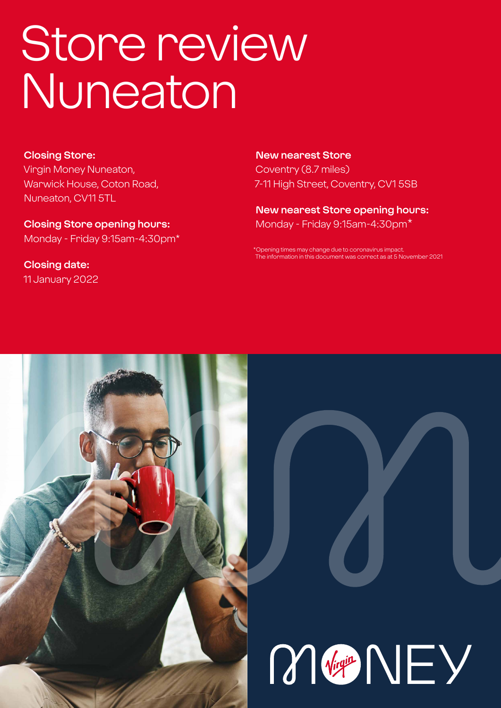# Store review Nuneaton

#### **Closing Store:**

Virgin Money Nuneaton, Warwick House, Coton Road, Nuneaton, CV11 5TL

**Closing Store opening hours:**  Monday - Friday 9:15am-4:30pm\*

**Closing date:**  11 January 2022

**New nearest Store** Coventry (8.7 miles) 7-11 High Street, Coventry, CV1 5SB

**New nearest Store opening hours:** Monday - Friday 9:15am-4:30pm\*

ening times may change due to coronavirus impact The information in this document was correct as at 5 November 2021



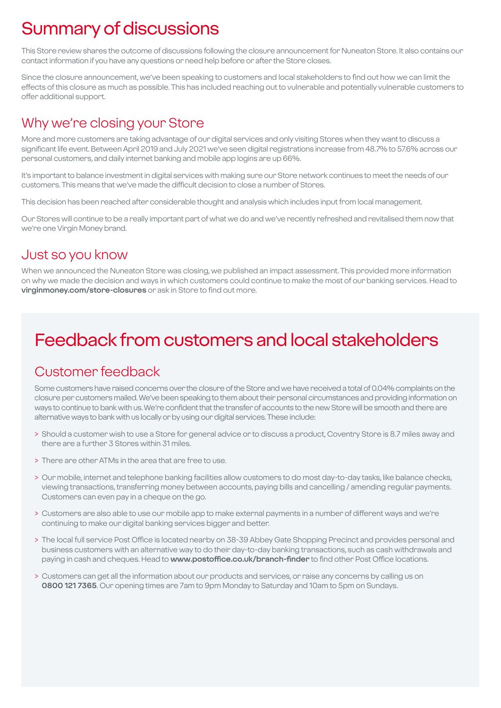# Summary of discussions

This Store review shares the outcome of discussions following the closure announcement for Nuneaton Store. It also contains our contact information if you have any questions or need help before or after the Store closes.

Since the closure announcement, we've been speaking to customers and local stakeholders to find out how we can limit the effects of this closure as much as possible. This has included reaching out to vulnerable and potentially vulnerable customers to offer additional support.

### Why we're closing your Store

More and more customers are taking advantage of our digital services and only visiting Stores when they want to discuss a significant life event. Between April 2019 and July 2021 we've seen digital registrations increase from 48.7% to 57.6% across our personal customers, and daily internet banking and mobile app logins are up 66%.

It's important to balance investment in digital services with making sure our Store network continues to meet the needs of our customers. This means that we've made the difficult decision to close a number of Stores.

This decision has been reached after considerable thought and analysis which includes input from local management.

Our Stores will continue to be a really important part of what we do and we've recently refreshed and revitalised them now that we're one Virgin Money brand.

### Just so you know

When we announced the Nuneaton Store was closing, we published an impact assessment. This provided more information on why we made the decision and ways in which customers could continue to make the most of our banking services. Head to **virginmoney.com/store-closures** or ask in Store to find out more.

# Feedback from customers and local stakeholders

### Customer feedback

Some customers have raised concerns over the closure of the Store and we have received a total of 0.04% complaints on the closure per customers mailed. We've been speaking to them about their personal circumstances and providing information on ways to continue to bank with us. We're confident that the transfer of accounts to the new Store will be smooth and there are alternative ways to bank with us locally or by using our digital services. These include:

- > Should a customer wish to use a Store for general advice or to discuss a product, Coventry Store is 8.7 miles away and there are a further 3 Stores within 31 miles.
- > There are other ATMs in the area that are free to use.
- > Our mobile, internet and telephone banking facilities allow customers to do most day-to-day tasks, like balance checks, viewing transactions, transferring money between accounts, paying bills and cancelling / amending regular payments. Customers can even pay in a cheque on the go.
- > Customers are also able to use our mobile app to make external payments in a number of different ways and we're continuing to make our digital banking services bigger and better.
- > The local full service Post Office is located nearby on 38-39 Abbey Gate Shopping Precinct and provides personal and business customers with an alternative way to do their day-to-day banking transactions, such as cash withdrawals and paying in cash and cheques. Head to **www.postoffice.co.uk/branch-finder** to find other Post Office locations.
- > Customers can get all the information about our products and services, or raise any concerns by calling us on **0800 121 7365**. Our opening times are 7am to 9pm Monday to Saturday and 10am to 5pm on Sundays.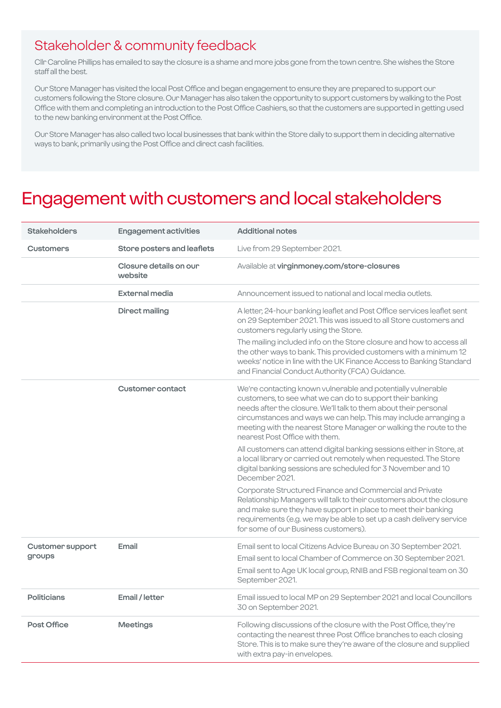### Stakeholder & community feedback

Cllr Caroline Phillips has emailed to say the closure is a shame and more jobs gone from the town centre. She wishes the Store staff all the best.

Our Store Manager has visited the local Post Office and began engagement to ensure they are prepared to support our customers following the Store closure. Our Manager has also taken the opportunity to support customers by walking to the Post Office with them and completing an introduction to the Post Office Cashiers, so that the customers are supported in getting used to the new banking environment at the Post Office.

Our Store Manager has also called two local businesses that bank within the Store daily to support them in deciding alternative ways to bank, primarily using the Post Office and direct cash facilities.

### Engagement with customers and local stakeholders

| <b>Stakeholders</b>               | <b>Engagement activities</b>      | <b>Additional notes</b>                                                                                                                                                                                                                                                                                                                                                                                                                                                                                                                                                                                   |
|-----------------------------------|-----------------------------------|-----------------------------------------------------------------------------------------------------------------------------------------------------------------------------------------------------------------------------------------------------------------------------------------------------------------------------------------------------------------------------------------------------------------------------------------------------------------------------------------------------------------------------------------------------------------------------------------------------------|
| <b>Customers</b>                  | Store posters and leaflets        | Live from 29 September 2021.                                                                                                                                                                                                                                                                                                                                                                                                                                                                                                                                                                              |
|                                   | Closure details on our<br>website | Available at virginmoney.com/store-closures                                                                                                                                                                                                                                                                                                                                                                                                                                                                                                                                                               |
|                                   | External media                    | Announcement issued to national and local media outlets.                                                                                                                                                                                                                                                                                                                                                                                                                                                                                                                                                  |
|                                   | <b>Direct mailing</b>             | A letter, 24-hour banking leaflet and Post Office services leaflet sent<br>on 29 September 2021. This was issued to all Store customers and<br>customers regularly using the Store.                                                                                                                                                                                                                                                                                                                                                                                                                       |
|                                   |                                   | The mailing included info on the Store closure and how to access all<br>the other ways to bank. This provided customers with a minimum 12<br>weeks' notice in line with the UK Finance Access to Banking Standard<br>and Financial Conduct Authority (FCA) Guidance.                                                                                                                                                                                                                                                                                                                                      |
|                                   | <b>Customer contact</b>           | We're contacting known vulnerable and potentially vulnerable<br>customers, to see what we can do to support their banking<br>needs after the closure. We'll talk to them about their personal<br>circumstances and ways we can help. This may include arranging a<br>meeting with the nearest Store Manager or walking the route to the<br>nearest Post Office with them.<br>All customers can attend digital banking sessions either in Store, at<br>a local library or carried out remotely when requested. The Store<br>digital banking sessions are scheduled for 3 November and 10<br>December 2021. |
|                                   |                                   | Corporate Structured Finance and Commercial and Private<br>Relationship Managers will talk to their customers about the closure<br>and make sure they have support in place to meet their banking<br>requirements (e.g. we may be able to set up a cash delivery service<br>for some of our Business customers).                                                                                                                                                                                                                                                                                          |
| <b>Customer support</b><br>groups | Email                             | Email sent to local Citizens Advice Bureau on 30 September 2021.<br>Email sent to local Chamber of Commerce on 30 September 2021.<br>Email sent to Age UK local group, RNIB and FSB regional team on 30<br>September 2021.                                                                                                                                                                                                                                                                                                                                                                                |
| <b>Politicians</b>                | Email / letter                    | Email issued to local MP on 29 September 2021 and local Councillors<br>30 on September 2021.                                                                                                                                                                                                                                                                                                                                                                                                                                                                                                              |
| <b>Post Office</b>                | <b>Meetings</b>                   | Following discussions of the closure with the Post Office, they're<br>contacting the nearest three Post Office branches to each closing<br>Store. This is to make sure they're aware of the closure and supplied<br>with extra pay-in envelopes.                                                                                                                                                                                                                                                                                                                                                          |